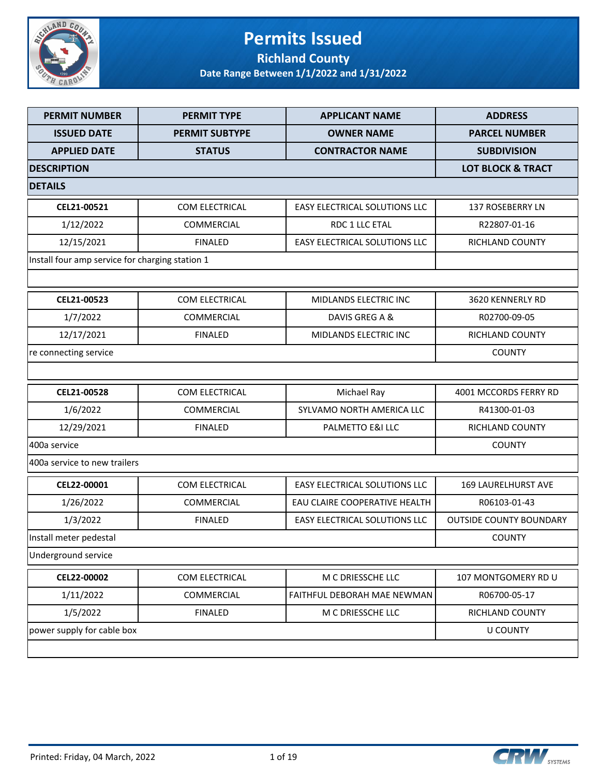

#### **Permits Issued Richland County**

| <b>PERMIT NUMBER</b>                            | <b>PERMIT TYPE</b>    | <b>APPLICANT NAME</b>                | <b>ADDRESS</b>                 |
|-------------------------------------------------|-----------------------|--------------------------------------|--------------------------------|
| <b>ISSUED DATE</b>                              | <b>PERMIT SUBTYPE</b> | <b>OWNER NAME</b>                    | <b>PARCEL NUMBER</b>           |
| <b>APPLIED DATE</b>                             | <b>STATUS</b>         | <b>CONTRACTOR NAME</b>               | <b>SUBDIVISION</b>             |
| <b>DESCRIPTION</b>                              |                       |                                      | <b>LOT BLOCK &amp; TRACT</b>   |
| <b>DETAILS</b>                                  |                       |                                      |                                |
| CEL21-00521                                     | COM ELECTRICAL        | EASY ELECTRICAL SOLUTIONS LLC        | 137 ROSEBERRY LN               |
| 1/12/2022                                       | <b>COMMERCIAL</b>     | RDC 1 LLC ETAL                       | R22807-01-16                   |
| 12/15/2021                                      | <b>FINALED</b>        | <b>EASY ELECTRICAL SOLUTIONS LLC</b> | RICHLAND COUNTY                |
| Install four amp service for charging station 1 |                       |                                      |                                |
|                                                 |                       |                                      |                                |
| CEL21-00523                                     | <b>COM ELECTRICAL</b> | MIDLANDS ELECTRIC INC                | 3620 KENNERLY RD               |
| 1/7/2022                                        | <b>COMMERCIAL</b>     | DAVIS GREG A &                       | R02700-09-05                   |
| 12/17/2021                                      | <b>FINALED</b>        | MIDLANDS ELECTRIC INC                | RICHLAND COUNTY                |
| re connecting service                           |                       |                                      | <b>COUNTY</b>                  |
|                                                 |                       |                                      |                                |
| CEL21-00528                                     | COM ELECTRICAL        | Michael Ray                          | 4001 MCCORDS FERRY RD          |
| 1/6/2022                                        | <b>COMMERCIAL</b>     | SYLVAMO NORTH AMERICA LLC            | R41300-01-03                   |
| 12/29/2021                                      | <b>FINALED</b>        | PALMETTO E&I LLC                     | RICHLAND COUNTY                |
| 400a service                                    |                       |                                      | <b>COUNTY</b>                  |
| 400a service to new trailers                    |                       |                                      |                                |
| CEL22-00001                                     | COM ELECTRICAL        | <b>EASY ELECTRICAL SOLUTIONS LLC</b> | <b>169 LAURELHURST AVE</b>     |
| 1/26/2022                                       | COMMERCIAL            | EAU CLAIRE COOPERATIVE HEALTH        | R06103-01-43                   |
| 1/3/2022                                        | <b>FINALED</b>        | EASY ELECTRICAL SOLUTIONS LLC        | <b>OUTSIDE COUNTY BOUNDARY</b> |
| Install meter pedestal                          |                       |                                      | <b>COUNTY</b>                  |
| Underground service                             |                       |                                      |                                |
| CEL22-00002                                     | COM ELECTRICAL        | M C DRIESSCHE LLC                    | 107 MONTGOMERY RD U            |
| 1/11/2022                                       | COMMERCIAL            | <b>FAITHFUL DEBORAH MAE NEWMAN</b>   | R06700-05-17                   |
| 1/5/2022                                        | <b>FINALED</b>        | M C DRIESSCHE LLC                    | RICHLAND COUNTY                |
| power supply for cable box                      |                       |                                      | <b>U COUNTY</b>                |
|                                                 |                       |                                      |                                |

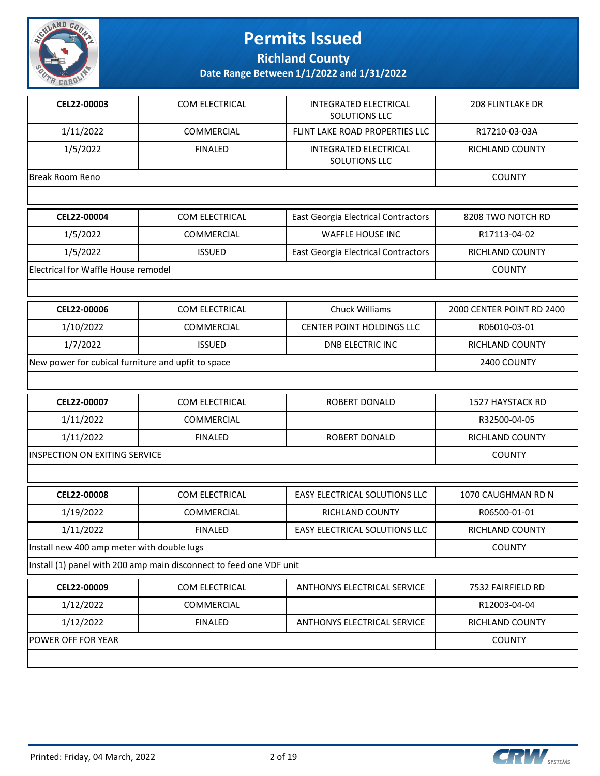

**Richland County**

| CEL22-00003                                                         | COM ELECTRICAL | <b>INTEGRATED ELECTRICAL</b><br>SOLUTIONS LLC | <b>208 FLINTLAKE DR</b>   |
|---------------------------------------------------------------------|----------------|-----------------------------------------------|---------------------------|
| 1/11/2022                                                           | COMMERCIAL     | FLINT LAKE ROAD PROPERTIES LLC                | R17210-03-03A             |
| 1/5/2022                                                            | <b>FINALED</b> | <b>INTEGRATED ELECTRICAL</b><br>SOLUTIONS LLC | RICHLAND COUNTY           |
| <b>Break Room Reno</b>                                              |                |                                               | <b>COUNTY</b>             |
|                                                                     |                |                                               |                           |
| CEL22-00004                                                         | COM ELECTRICAL | <b>East Georgia Electrical Contractors</b>    | 8208 TWO NOTCH RD         |
| 1/5/2022                                                            | COMMERCIAL     | <b>WAFFLE HOUSE INC</b>                       | R17113-04-02              |
| 1/5/2022                                                            | <b>ISSUED</b>  | East Georgia Electrical Contractors           | RICHLAND COUNTY           |
| Electrical for Waffle House remodel                                 |                |                                               | <b>COUNTY</b>             |
|                                                                     |                |                                               |                           |
| CEL22-00006                                                         | COM ELECTRICAL | <b>Chuck Williams</b>                         | 2000 CENTER POINT RD 2400 |
| 1/10/2022                                                           | COMMERCIAL     | CENTER POINT HOLDINGS LLC                     | R06010-03-01              |
| 1/7/2022                                                            | <b>ISSUED</b>  | <b>DNB ELECTRIC INC</b>                       | RICHLAND COUNTY           |
| New power for cubical furniture and upfit to space                  |                |                                               | 2400 COUNTY               |
|                                                                     |                |                                               |                           |
| CEL22-00007                                                         | COM ELECTRICAL | ROBERT DONALD                                 | 1527 HAYSTACK RD          |
| 1/11/2022                                                           | COMMERCIAL     |                                               | R32500-04-05              |
| 1/11/2022                                                           | <b>FINALED</b> | ROBERT DONALD                                 | RICHLAND COUNTY           |
| INSPECTION ON EXITING SERVICE                                       |                |                                               | <b>COUNTY</b>             |
|                                                                     |                |                                               |                           |
| CEL22-00008                                                         | COM ELECTRICAL | EASY ELECTRICAL SOLUTIONS LLC                 | 1070 CAUGHMAN RD N        |
| 1/19/2022                                                           | COMMERCIAL     | <b>RICHLAND COUNTY</b>                        | R06500-01-01              |
| 1/11/2022                                                           | <b>FINALED</b> | EASY ELECTRICAL SOLUTIONS LLC                 | RICHLAND COUNTY           |
| Install new 400 amp meter with double lugs                          |                |                                               | COUNTY                    |
| Install (1) panel with 200 amp main disconnect to feed one VDF unit |                |                                               |                           |
| CEL22-00009                                                         | COM ELECTRICAL | ANTHONYS ELECTRICAL SERVICE                   | 7532 FAIRFIELD RD         |
| 1/12/2022                                                           | COMMERCIAL     |                                               | R12003-04-04              |
| 1/12/2022                                                           | <b>FINALED</b> | ANTHONYS ELECTRICAL SERVICE                   | RICHLAND COUNTY           |
| POWER OFF FOR YEAR                                                  | <b>COUNTY</b>  |                                               |                           |
|                                                                     |                |                                               |                           |

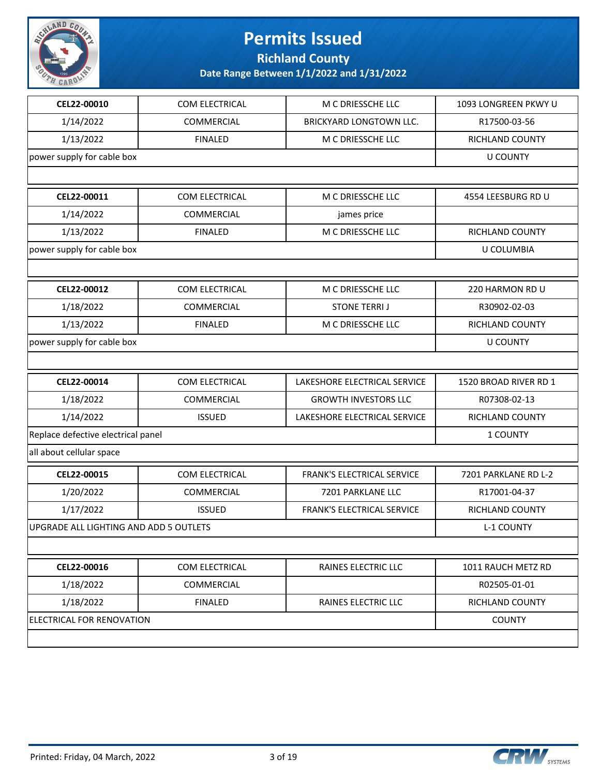

**Richland County**

| 1/14/2022<br>COMMERCIAL<br><b>BRICKYARD LONGTOWN LLC.</b><br>R17500-03-56<br>1/13/2022<br><b>FINALED</b><br>M C DRIESSCHE LLC<br>RICHLAND COUNTY<br>power supply for cable box<br><b>U COUNTY</b><br>CEL22-00011<br>COM ELECTRICAL<br>M C DRIESSCHE LLC<br>4554 LEESBURG RD U<br>1/14/2022<br>COMMERCIAL<br>james price<br>1/13/2022<br><b>FINALED</b><br>M C DRIESSCHE LLC<br>RICHLAND COUNTY<br>power supply for cable box<br>U COLUMBIA<br>CEL22-00012<br>COM ELECTRICAL<br>M C DRIESSCHE LLC<br>220 HARMON RD U<br>1/18/2022<br>COMMERCIAL<br><b>STONE TERRIJ</b><br>R30902-02-03<br>1/13/2022<br><b>FINALED</b><br>M C DRIESSCHE LLC<br>RICHLAND COUNTY<br>power supply for cable box<br><b>U COUNTY</b><br>CEL22-00014<br>COM ELECTRICAL<br>LAKESHORE ELECTRICAL SERVICE<br>1520 BROAD RIVER RD 1<br>1/18/2022<br>COMMERCIAL<br>R07308-02-13<br><b>GROWTH INVESTORS LLC</b><br>1/14/2022<br>LAKESHORE ELECTRICAL SERVICE<br><b>ISSUED</b><br>RICHLAND COUNTY<br>Replace defective electrical panel<br>1 COUNTY<br>all about cellular space<br>CEL22-00015<br>COM ELECTRICAL<br>FRANK'S ELECTRICAL SERVICE<br>7201 PARKLANE RD L-2<br>1/20/2022<br>COMMERCIAL<br>7201 PARKLANE LLC<br>R17001-04-37<br>1/17/2022<br><b>ISSUED</b><br>FRANK'S ELECTRICAL SERVICE<br>RICHLAND COUNTY<br>UPGRADE ALL LIGHTING AND ADD 5 OUTLETS<br><b>L-1 COUNTY</b> | CEL22-00010 | COM ELECTRICAL | M C DRIESSCHE LLC | 1093 LONGREEN PKWY U |
|-------------------------------------------------------------------------------------------------------------------------------------------------------------------------------------------------------------------------------------------------------------------------------------------------------------------------------------------------------------------------------------------------------------------------------------------------------------------------------------------------------------------------------------------------------------------------------------------------------------------------------------------------------------------------------------------------------------------------------------------------------------------------------------------------------------------------------------------------------------------------------------------------------------------------------------------------------------------------------------------------------------------------------------------------------------------------------------------------------------------------------------------------------------------------------------------------------------------------------------------------------------------------------------------------------------------------------------------------------|-------------|----------------|-------------------|----------------------|
|                                                                                                                                                                                                                                                                                                                                                                                                                                                                                                                                                                                                                                                                                                                                                                                                                                                                                                                                                                                                                                                                                                                                                                                                                                                                                                                                                       |             |                |                   |                      |
|                                                                                                                                                                                                                                                                                                                                                                                                                                                                                                                                                                                                                                                                                                                                                                                                                                                                                                                                                                                                                                                                                                                                                                                                                                                                                                                                                       |             |                |                   |                      |
|                                                                                                                                                                                                                                                                                                                                                                                                                                                                                                                                                                                                                                                                                                                                                                                                                                                                                                                                                                                                                                                                                                                                                                                                                                                                                                                                                       |             |                |                   |                      |
|                                                                                                                                                                                                                                                                                                                                                                                                                                                                                                                                                                                                                                                                                                                                                                                                                                                                                                                                                                                                                                                                                                                                                                                                                                                                                                                                                       |             |                |                   |                      |
|                                                                                                                                                                                                                                                                                                                                                                                                                                                                                                                                                                                                                                                                                                                                                                                                                                                                                                                                                                                                                                                                                                                                                                                                                                                                                                                                                       |             |                |                   |                      |
|                                                                                                                                                                                                                                                                                                                                                                                                                                                                                                                                                                                                                                                                                                                                                                                                                                                                                                                                                                                                                                                                                                                                                                                                                                                                                                                                                       |             |                |                   |                      |
|                                                                                                                                                                                                                                                                                                                                                                                                                                                                                                                                                                                                                                                                                                                                                                                                                                                                                                                                                                                                                                                                                                                                                                                                                                                                                                                                                       |             |                |                   |                      |
|                                                                                                                                                                                                                                                                                                                                                                                                                                                                                                                                                                                                                                                                                                                                                                                                                                                                                                                                                                                                                                                                                                                                                                                                                                                                                                                                                       |             |                |                   |                      |
|                                                                                                                                                                                                                                                                                                                                                                                                                                                                                                                                                                                                                                                                                                                                                                                                                                                                                                                                                                                                                                                                                                                                                                                                                                                                                                                                                       |             |                |                   |                      |
|                                                                                                                                                                                                                                                                                                                                                                                                                                                                                                                                                                                                                                                                                                                                                                                                                                                                                                                                                                                                                                                                                                                                                                                                                                                                                                                                                       |             |                |                   |                      |
|                                                                                                                                                                                                                                                                                                                                                                                                                                                                                                                                                                                                                                                                                                                                                                                                                                                                                                                                                                                                                                                                                                                                                                                                                                                                                                                                                       |             |                |                   |                      |
|                                                                                                                                                                                                                                                                                                                                                                                                                                                                                                                                                                                                                                                                                                                                                                                                                                                                                                                                                                                                                                                                                                                                                                                                                                                                                                                                                       |             |                |                   |                      |
|                                                                                                                                                                                                                                                                                                                                                                                                                                                                                                                                                                                                                                                                                                                                                                                                                                                                                                                                                                                                                                                                                                                                                                                                                                                                                                                                                       |             |                |                   |                      |
|                                                                                                                                                                                                                                                                                                                                                                                                                                                                                                                                                                                                                                                                                                                                                                                                                                                                                                                                                                                                                                                                                                                                                                                                                                                                                                                                                       |             |                |                   |                      |
|                                                                                                                                                                                                                                                                                                                                                                                                                                                                                                                                                                                                                                                                                                                                                                                                                                                                                                                                                                                                                                                                                                                                                                                                                                                                                                                                                       |             |                |                   |                      |
|                                                                                                                                                                                                                                                                                                                                                                                                                                                                                                                                                                                                                                                                                                                                                                                                                                                                                                                                                                                                                                                                                                                                                                                                                                                                                                                                                       |             |                |                   |                      |
|                                                                                                                                                                                                                                                                                                                                                                                                                                                                                                                                                                                                                                                                                                                                                                                                                                                                                                                                                                                                                                                                                                                                                                                                                                                                                                                                                       |             |                |                   |                      |
|                                                                                                                                                                                                                                                                                                                                                                                                                                                                                                                                                                                                                                                                                                                                                                                                                                                                                                                                                                                                                                                                                                                                                                                                                                                                                                                                                       |             |                |                   |                      |
|                                                                                                                                                                                                                                                                                                                                                                                                                                                                                                                                                                                                                                                                                                                                                                                                                                                                                                                                                                                                                                                                                                                                                                                                                                                                                                                                                       |             |                |                   |                      |
|                                                                                                                                                                                                                                                                                                                                                                                                                                                                                                                                                                                                                                                                                                                                                                                                                                                                                                                                                                                                                                                                                                                                                                                                                                                                                                                                                       |             |                |                   |                      |
|                                                                                                                                                                                                                                                                                                                                                                                                                                                                                                                                                                                                                                                                                                                                                                                                                                                                                                                                                                                                                                                                                                                                                                                                                                                                                                                                                       |             |                |                   |                      |
|                                                                                                                                                                                                                                                                                                                                                                                                                                                                                                                                                                                                                                                                                                                                                                                                                                                                                                                                                                                                                                                                                                                                                                                                                                                                                                                                                       |             |                |                   |                      |
|                                                                                                                                                                                                                                                                                                                                                                                                                                                                                                                                                                                                                                                                                                                                                                                                                                                                                                                                                                                                                                                                                                                                                                                                                                                                                                                                                       |             |                |                   |                      |
|                                                                                                                                                                                                                                                                                                                                                                                                                                                                                                                                                                                                                                                                                                                                                                                                                                                                                                                                                                                                                                                                                                                                                                                                                                                                                                                                                       |             |                |                   |                      |
| CEL22-00016<br>COM ELECTRICAL<br>RAINES ELECTRIC LLC<br>1011 RAUCH METZ RD                                                                                                                                                                                                                                                                                                                                                                                                                                                                                                                                                                                                                                                                                                                                                                                                                                                                                                                                                                                                                                                                                                                                                                                                                                                                            |             |                |                   |                      |
| 1/18/2022<br>COMMERCIAL<br>R02505-01-01                                                                                                                                                                                                                                                                                                                                                                                                                                                                                                                                                                                                                                                                                                                                                                                                                                                                                                                                                                                                                                                                                                                                                                                                                                                                                                               |             |                |                   |                      |
| 1/18/2022<br><b>FINALED</b><br>RAINES ELECTRIC LLC<br>RICHLAND COUNTY                                                                                                                                                                                                                                                                                                                                                                                                                                                                                                                                                                                                                                                                                                                                                                                                                                                                                                                                                                                                                                                                                                                                                                                                                                                                                 |             |                |                   |                      |
| ELECTRICAL FOR RENOVATION<br><b>COUNTY</b>                                                                                                                                                                                                                                                                                                                                                                                                                                                                                                                                                                                                                                                                                                                                                                                                                                                                                                                                                                                                                                                                                                                                                                                                                                                                                                            |             |                |                   |                      |
|                                                                                                                                                                                                                                                                                                                                                                                                                                                                                                                                                                                                                                                                                                                                                                                                                                                                                                                                                                                                                                                                                                                                                                                                                                                                                                                                                       |             |                |                   |                      |

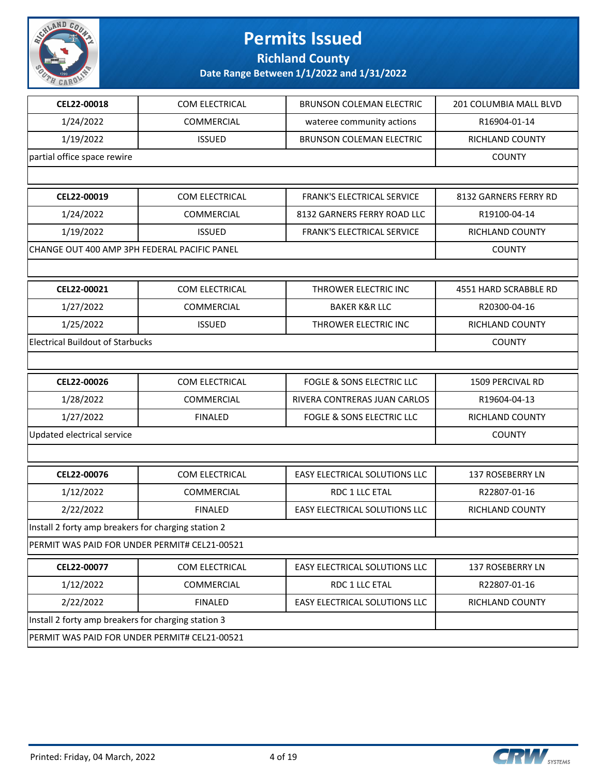

**Richland County**

| 1/24/2022<br>COMMERCIAL<br>wateree community actions           | R16904-01-14          |
|----------------------------------------------------------------|-----------------------|
| 1/19/2022<br><b>ISSUED</b><br><b>BRUNSON COLEMAN ELECTRIC</b>  | RICHLAND COUNTY       |
| partial office space rewire                                    | <b>COUNTY</b>         |
|                                                                |                       |
| CEL22-00019<br>COM ELECTRICAL<br>FRANK'S ELECTRICAL SERVICE    | 8132 GARNERS FERRY RD |
| 1/24/2022<br>COMMERCIAL<br>8132 GARNERS FERRY ROAD LLC         | R19100-04-14          |
| 1/19/2022<br><b>ISSUED</b><br>FRANK'S ELECTRICAL SERVICE       | RICHLAND COUNTY       |
| CHANGE OUT 400 AMP 3PH FEDERAL PACIFIC PANEL                   | <b>COUNTY</b>         |
|                                                                |                       |
| CEL22-00021<br>COM ELECTRICAL<br>THROWER ELECTRIC INC          | 4551 HARD SCRABBLE RD |
| 1/27/2022<br>COMMERCIAL<br><b>BAKER K&amp;R LLC</b>            | R20300-04-16          |
| 1/25/2022<br><b>ISSUED</b><br>THROWER ELECTRIC INC             | RICHLAND COUNTY       |
| <b>Electrical Buildout of Starbucks</b>                        | <b>COUNTY</b>         |
|                                                                |                       |
| CEL22-00026<br>COM ELECTRICAL<br>FOGLE & SONS ELECTRIC LLC     | 1509 PERCIVAL RD      |
| 1/28/2022<br>COMMERCIAL<br>RIVERA CONTRERAS JUAN CARLOS        | R19604-04-13          |
| 1/27/2022<br><b>FINALED</b><br>FOGLE & SONS ELECTRIC LLC       | RICHLAND COUNTY       |
| Updated electrical service                                     | <b>COUNTY</b>         |
|                                                                |                       |
| CEL22-00076<br>COM ELECTRICAL<br>EASY ELECTRICAL SOLUTIONS LLC | 137 ROSEBERRY LN      |
| COMMERCIAL<br>RDC 1 LLC ETAL<br>1/12/2022                      | R22807-01-16          |
| 2/22/2022<br>EASY ELECTRICAL SOLUTIONS LLC<br><b>FINALED</b>   | RICHLAND COUNTY       |
| Install 2 forty amp breakers for charging station 2            |                       |
| PERMIT WAS PAID FOR UNDER PERMIT# CEL21-00521                  |                       |
| CEL22-00077<br>COM ELECTRICAL<br>EASY ELECTRICAL SOLUTIONS LLC | 137 ROSEBERRY LN      |
| 1/12/2022<br>COMMERCIAL<br>RDC 1 LLC ETAL                      | R22807-01-16          |
| 2/22/2022<br><b>FINALED</b><br>EASY ELECTRICAL SOLUTIONS LLC   | RICHLAND COUNTY       |
| Install 2 forty amp breakers for charging station 3            |                       |
| PERMIT WAS PAID FOR UNDER PERMIT# CEL21-00521                  |                       |

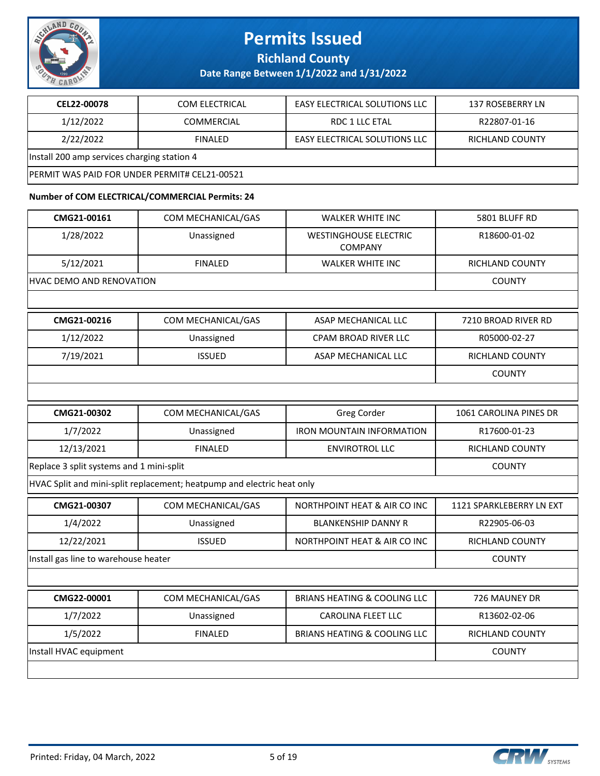

**Richland County**

**Date Range Between 1/1/2022 and 1/31/2022**

| CEL22-00078                                           | <b>COM ELECTRICAL</b> | <b>EASY ELECTRICAL SOLUTIONS LLC</b> | 137 ROSEBERRY LN |
|-------------------------------------------------------|-----------------------|--------------------------------------|------------------|
| 1/12/2022                                             | <b>COMMERCIAL</b>     | RDC 1 LLC ETAL                       | R22807-01-16     |
| 2/22/2022                                             | <b>FINALED</b>        | <b>EASY ELECTRICAL SOLUTIONS LLC</b> | RICHLAND COUNTY  |
| Install 200 amp services charging station 4           |                       |                                      |                  |
| <b>IPERMIT WAS PAID FOR UNDER PERMIT# CEL21-00521</b> |                       |                                      |                  |

#### **Number of COM ELECTRICAL/COMMERCIAL Permits: 24**

| CMG21-00161                              | COM MECHANICAL/GAS                                                     | <b>WALKER WHITE INC</b>                        | 5801 BLUFF RD            |
|------------------------------------------|------------------------------------------------------------------------|------------------------------------------------|--------------------------|
| 1/28/2022                                | Unassigned                                                             | <b>WESTINGHOUSE ELECTRIC</b><br><b>COMPANY</b> | R18600-01-02             |
| 5/12/2021                                | <b>FINALED</b>                                                         | <b>WALKER WHITE INC</b>                        | RICHLAND COUNTY          |
| HVAC DEMO AND RENOVATION                 |                                                                        |                                                | <b>COUNTY</b>            |
|                                          |                                                                        |                                                |                          |
| CMG21-00216                              | COM MECHANICAL/GAS                                                     | ASAP MECHANICAL LLC                            | 7210 BROAD RIVER RD      |
| 1/12/2022                                | Unassigned                                                             | CPAM BROAD RIVER LLC                           | R05000-02-27             |
| 7/19/2021                                | <b>ISSUED</b>                                                          | ASAP MECHANICAL LLC                            | RICHLAND COUNTY          |
|                                          |                                                                        |                                                | <b>COUNTY</b>            |
|                                          |                                                                        |                                                |                          |
| CMG21-00302                              | COM MECHANICAL/GAS                                                     | Greg Corder                                    | 1061 CAROLINA PINES DR   |
| 1/7/2022                                 | Unassigned                                                             | <b>IRON MOUNTAIN INFORMATION</b>               | R17600-01-23             |
| 12/13/2021                               | <b>FINALED</b>                                                         | <b>ENVIROTROL LLC</b>                          | RICHLAND COUNTY          |
| Replace 3 split systems and 1 mini-split | <b>COUNTY</b>                                                          |                                                |                          |
|                                          | HVAC Split and mini-split replacement; heatpump and electric heat only |                                                |                          |
| CMG21-00307                              | COM MECHANICAL/GAS                                                     | NORTHPOINT HEAT & AIR CO INC                   | 1121 SPARKLEBERRY LN EXT |
| 1/4/2022                                 | Unassigned                                                             | <b>BLANKENSHIP DANNY R</b>                     | R22905-06-03             |
| 12/22/2021                               | <b>ISSUED</b>                                                          | NORTHPOINT HEAT & AIR CO INC                   | <b>RICHLAND COUNTY</b>   |
| Install gas line to warehouse heater     |                                                                        |                                                | <b>COUNTY</b>            |
|                                          |                                                                        |                                                |                          |
| CMG22-00001                              | COM MECHANICAL/GAS                                                     | <b>BRIANS HEATING &amp; COOLING LLC</b>        | 726 MAUNEY DR            |
| 1/7/2022                                 | Unassigned                                                             | <b>CAROLINA FLEET LLC</b>                      | R13602-02-06             |
| 1/5/2022                                 | <b>FINALED</b>                                                         | <b>BRIANS HEATING &amp; COOLING LLC</b>        | RICHLAND COUNTY          |
| Install HVAC equipment                   | <b>COUNTY</b>                                                          |                                                |                          |
|                                          |                                                                        |                                                |                          |

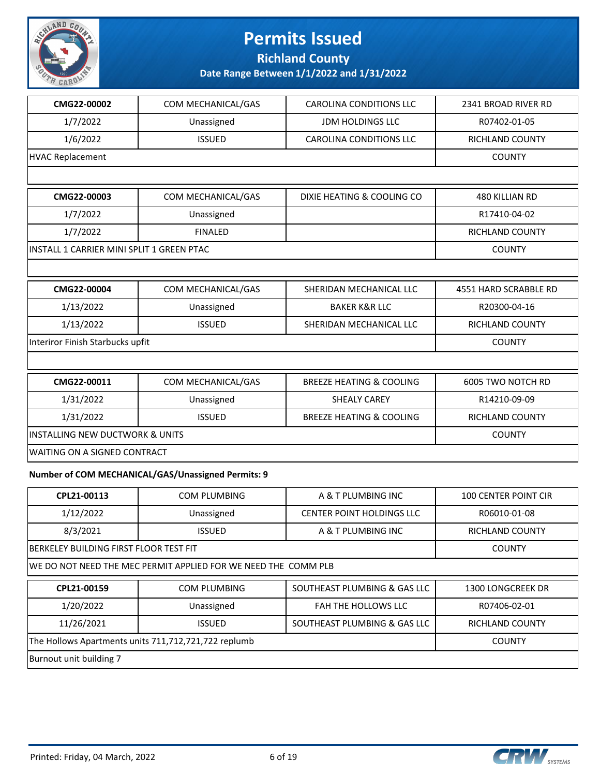

**Richland County**

#### **Date Range Between 1/1/2022 and 1/31/2022**

| CMG22-00002                                          | COM MECHANICAL/GAS                                             | <b>CAROLINA CONDITIONS LLC</b>      | 2341 BROAD RIVER RD    |
|------------------------------------------------------|----------------------------------------------------------------|-------------------------------------|------------------------|
| 1/7/2022                                             | Unassigned                                                     | <b>JDM HOLDINGS LLC</b>             | R07402-01-05           |
| 1/6/2022                                             | <b>ISSUED</b>                                                  | CAROLINA CONDITIONS LLC             | RICHLAND COUNTY        |
| <b>HVAC Replacement</b>                              |                                                                |                                     | <b>COUNTY</b>          |
|                                                      |                                                                |                                     |                        |
| CMG22-00003                                          | COM MECHANICAL/GAS                                             | DIXIE HEATING & COOLING CO          | 480 KILLIAN RD         |
| 1/7/2022                                             | Unassigned                                                     |                                     | R17410-04-02           |
| 1/7/2022                                             | <b>FINALED</b>                                                 |                                     | RICHLAND COUNTY        |
| INSTALL 1 CARRIER MINI SPLIT 1 GREEN PTAC            |                                                                |                                     | <b>COUNTY</b>          |
|                                                      |                                                                |                                     |                        |
| CMG22-00004                                          | COM MECHANICAL/GAS                                             | SHERIDAN MECHANICAL LLC             | 4551 HARD SCRABBLE RD  |
| 1/13/2022                                            | Unassigned                                                     | <b>BAKER K&amp;R LLC</b>            | R20300-04-16           |
| 1/13/2022                                            | <b>ISSUED</b>                                                  | SHERIDAN MECHANICAL LLC             | <b>RICHLAND COUNTY</b> |
|                                                      | Interiror Finish Starbucks upfit                               |                                     |                        |
|                                                      |                                                                |                                     |                        |
| CMG22-00011                                          | COM MECHANICAL/GAS                                             | <b>BREEZE HEATING &amp; COOLING</b> | 6005 TWO NOTCH RD      |
| 1/31/2022                                            | Unassigned                                                     | <b>SHEALY CAREY</b>                 | R14210-09-09           |
| 1/31/2022                                            | <b>ISSUED</b>                                                  | <b>BREEZE HEATING &amp; COOLING</b> | RICHLAND COUNTY        |
| <b>INSTALLING NEW DUCTWORK &amp; UNITS</b>           |                                                                |                                     | <b>COUNTY</b>          |
| WAITING ON A SIGNED CONTRACT                         |                                                                |                                     |                        |
|                                                      | Number of COM MECHANICAL/GAS/Unassigned Permits: 9             |                                     |                        |
| CPL21-00113                                          | COM PLUMBING                                                   | A & T PLUMBING INC                  | 100 CENTER POINT CIR   |
| 1/12/2022                                            | Unassigned                                                     | CENTER POINT HOLDINGS LLC           | R06010-01-08           |
| 8/3/2021                                             | <b>ISSUED</b>                                                  | A & T PLUMBING INC                  | RICHLAND COUNTY        |
| BERKELEY BUILDING FIRST FLOOR TEST FIT               |                                                                |                                     | <b>COUNTY</b>          |
|                                                      | WE DO NOT NEED THE MEC PERMIT APPLIED FOR WE NEED THE COMM PLB |                                     |                        |
| CPL21-00159                                          | COM PLUMBING                                                   | SOUTHEAST PLUMBING & GAS LLC        | 1300 LONGCREEK DR      |
| 1/20/2022                                            | Unassigned                                                     | FAH THE HOLLOWS LLC                 | R07406-02-01           |
| 11/26/2021                                           | <b>ISSUED</b>                                                  | SOUTHEAST PLUMBING & GAS LLC        | RICHLAND COUNTY        |
| The Hollows Apartments units 711,712,721,722 replumb |                                                                |                                     | <b>COUNTY</b>          |

Burnout unit building 7

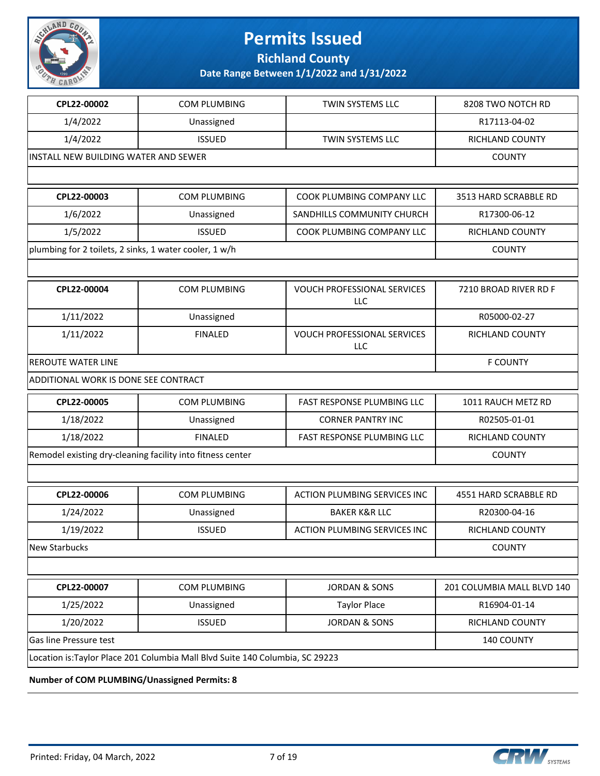

**Richland County**

**Date Range Between 1/1/2022 and 1/31/2022**

| CPL22-00002                                            | COM PLUMBING                                                                 | TWIN SYSTEMS LLC                          | 8208 TWO NOTCH RD          |
|--------------------------------------------------------|------------------------------------------------------------------------------|-------------------------------------------|----------------------------|
| 1/4/2022                                               | Unassigned                                                                   |                                           | R17113-04-02               |
| 1/4/2022                                               | <b>ISSUED</b>                                                                | TWIN SYSTEMS LLC                          | RICHLAND COUNTY            |
| INSTALL NEW BUILDING WATER AND SEWER                   |                                                                              |                                           | <b>COUNTY</b>              |
|                                                        |                                                                              |                                           |                            |
| CPL22-00003                                            | COM PLUMBING                                                                 | COOK PLUMBING COMPANY LLC                 | 3513 HARD SCRABBLE RD      |
| 1/6/2022                                               | Unassigned                                                                   | SANDHILLS COMMUNITY CHURCH                | R17300-06-12               |
| 1/5/2022                                               | <b>ISSUED</b>                                                                | COOK PLUMBING COMPANY LLC                 | RICHLAND COUNTY            |
| plumbing for 2 toilets, 2 sinks, 1 water cooler, 1 w/h |                                                                              |                                           | <b>COUNTY</b>              |
|                                                        |                                                                              |                                           |                            |
| CPL22-00004                                            | <b>COM PLUMBING</b>                                                          | <b>VOUCH PROFESSIONAL SERVICES</b><br>LLC | 7210 BROAD RIVER RD F      |
| 1/11/2022                                              | Unassigned                                                                   |                                           | R05000-02-27               |
| 1/11/2022                                              | <b>FINALED</b>                                                               | VOUCH PROFESSIONAL SERVICES<br>LLC        | RICHLAND COUNTY            |
| <b>REROUTE WATER LINE</b>                              | <b>F COUNTY</b>                                                              |                                           |                            |
| ADDITIONAL WORK IS DONE SEE CONTRACT                   |                                                                              |                                           |                            |
| CPL22-00005                                            | COM PLUMBING                                                                 | <b>FAST RESPONSE PLUMBING LLC</b>         | 1011 RAUCH METZ RD         |
| 1/18/2022                                              | Unassigned                                                                   | <b>CORNER PANTRY INC</b>                  | R02505-01-01               |
| 1/18/2022                                              | <b>FINALED</b>                                                               | FAST RESPONSE PLUMBING LLC                | RICHLAND COUNTY            |
|                                                        | Remodel existing dry-cleaning facility into fitness center                   |                                           | <b>COUNTY</b>              |
|                                                        |                                                                              |                                           |                            |
| CPL22-00006                                            | <b>COM PLUMBING</b>                                                          | <b>ACTION PLUMBING SERVICES INC</b>       | 4551 HARD SCRABBLE RD      |
| 1/24/2022                                              | Unassigned                                                                   | <b>BAKER K&amp;R LLC</b>                  | R20300-04-16               |
| 1/19/2022                                              | <b>ISSUED</b>                                                                | ACTION PLUMBING SERVICES INC              | RICHLAND COUNTY            |
| <b>New Starbucks</b>                                   |                                                                              |                                           | <b>COUNTY</b>              |
|                                                        |                                                                              |                                           |                            |
| CPL22-00007                                            | COM PLUMBING                                                                 | <b>JORDAN &amp; SONS</b>                  | 201 COLUMBIA MALL BLVD 140 |
| 1/25/2022                                              | Unassigned                                                                   | <b>Taylor Place</b>                       | R16904-01-14               |
| 1/20/2022                                              | <b>ISSUED</b>                                                                | <b>JORDAN &amp; SONS</b>                  | RICHLAND COUNTY            |
| Gas line Pressure test                                 |                                                                              |                                           | 140 COUNTY                 |
|                                                        | Location is:Taylor Place 201 Columbia Mall Blvd Suite 140 Columbia, SC 29223 |                                           |                            |

**Number of COM PLUMBING/Unassigned Permits: 8**

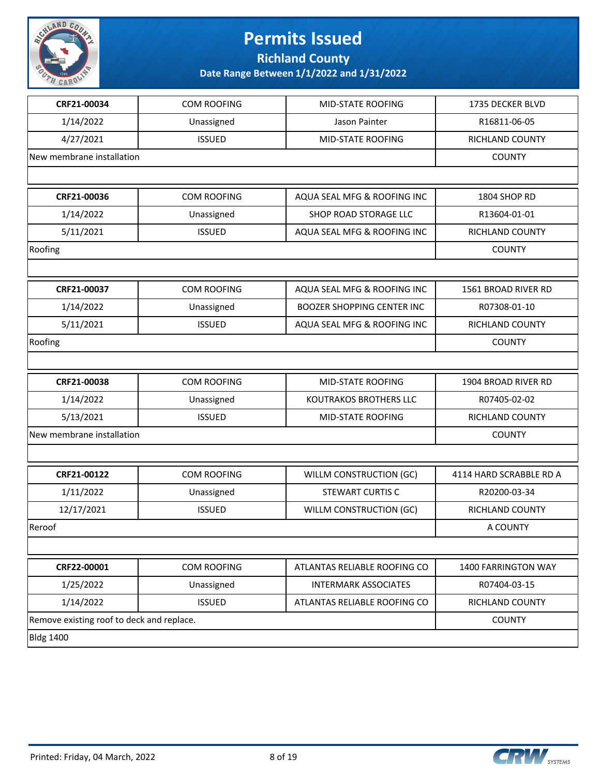

**Richland County**

| CRF21-00034                               | <b>COM ROOFING</b> | MID-STATE ROOFING                 | 1735 DECKER BLVD        |
|-------------------------------------------|--------------------|-----------------------------------|-------------------------|
| 1/14/2022                                 | Unassigned         | Jason Painter                     | R16811-06-05            |
| 4/27/2021                                 | <b>ISSUED</b>      | <b>MID-STATE ROOFING</b>          | RICHLAND COUNTY         |
| New membrane installation                 |                    |                                   | <b>COUNTY</b>           |
|                                           |                    |                                   |                         |
| CRF21-00036                               | <b>COM ROOFING</b> | AQUA SEAL MFG & ROOFING INC       | 1804 SHOP RD            |
| 1/14/2022                                 | Unassigned         | SHOP ROAD STORAGE LLC             | R13604-01-01            |
| 5/11/2021                                 | <b>ISSUED</b>      | AQUA SEAL MFG & ROOFING INC       | RICHLAND COUNTY         |
| Roofing                                   |                    |                                   | <b>COUNTY</b>           |
|                                           |                    |                                   |                         |
| CRF21-00037                               | COM ROOFING        | AQUA SEAL MFG & ROOFING INC       | 1561 BROAD RIVER RD     |
| 1/14/2022                                 | Unassigned         | <b>BOOZER SHOPPING CENTER INC</b> | R07308-01-10            |
| 5/11/2021                                 | <b>ISSUED</b>      | AQUA SEAL MFG & ROOFING INC       | RICHLAND COUNTY         |
| Roofing                                   |                    | <b>COUNTY</b>                     |                         |
|                                           |                    |                                   |                         |
| CRF21-00038                               | <b>COM ROOFING</b> | MID-STATE ROOFING                 | 1904 BROAD RIVER RD     |
| 1/14/2022                                 | Unassigned         | KOUTRAKOS BROTHERS LLC            | R07405-02-02            |
| 5/13/2021                                 | <b>ISSUED</b>      | MID-STATE ROOFING                 | RICHLAND COUNTY         |
| New membrane installation                 |                    |                                   | <b>COUNTY</b>           |
|                                           |                    |                                   |                         |
| CRF21-00122                               | COM ROOFING        | WILLM CONSTRUCTION (GC)           | 4114 HARD SCRABBLE RD A |
| 1/11/2022                                 | Unassigned         | <b>STEWART CURTIS C</b>           | R20200-03-34            |
| 12/17/2021                                | <b>ISSUED</b>      | WILLM CONSTRUCTION (GC)           | RICHLAND COUNTY         |
| Reroof                                    | A COUNTY           |                                   |                         |
|                                           |                    |                                   |                         |
| CRF22-00001                               | COM ROOFING        | ATLANTAS RELIABLE ROOFING CO      | 1400 FARRINGTON WAY     |
| 1/25/2022                                 | Unassigned         | <b>INTERMARK ASSOCIATES</b>       | R07404-03-15            |
| 1/14/2022                                 | <b>ISSUED</b>      | ATLANTAS RELIABLE ROOFING CO      | RICHLAND COUNTY         |
| Remove existing roof to deck and replace. |                    |                                   | <b>COUNTY</b>           |
| <b>Bldg 1400</b>                          |                    |                                   |                         |

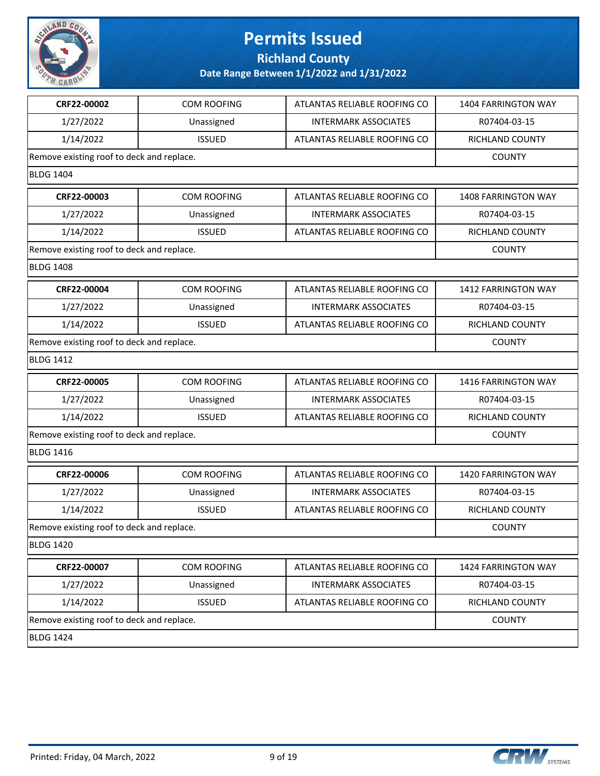

**Richland County**

| CRF22-00002                               | COM ROOFING        | ATLANTAS RELIABLE ROOFING CO | <b>1404 FARRINGTON WAY</b> |
|-------------------------------------------|--------------------|------------------------------|----------------------------|
| 1/27/2022                                 | Unassigned         | <b>INTERMARK ASSOCIATES</b>  | R07404-03-15               |
| 1/14/2022                                 | <b>ISSUED</b>      | ATLANTAS RELIABLE ROOFING CO | RICHLAND COUNTY            |
| Remove existing roof to deck and replace. |                    |                              | <b>COUNTY</b>              |
| <b>BLDG 1404</b>                          |                    |                              |                            |
| CRF22-00003                               | <b>COM ROOFING</b> | ATLANTAS RELIABLE ROOFING CO | <b>1408 FARRINGTON WAY</b> |
| 1/27/2022                                 | Unassigned         | <b>INTERMARK ASSOCIATES</b>  | R07404-03-15               |
| 1/14/2022                                 | <b>ISSUED</b>      | ATLANTAS RELIABLE ROOFING CO | RICHLAND COUNTY            |
| Remove existing roof to deck and replace. |                    |                              | <b>COUNTY</b>              |
| <b>BLDG 1408</b>                          |                    |                              |                            |
| CRF22-00004                               | COM ROOFING        | ATLANTAS RELIABLE ROOFING CO | 1412 FARRINGTON WAY        |
| 1/27/2022                                 | Unassigned         | <b>INTERMARK ASSOCIATES</b>  | R07404-03-15               |
| 1/14/2022                                 | <b>ISSUED</b>      | ATLANTAS RELIABLE ROOFING CO | RICHLAND COUNTY            |
| Remove existing roof to deck and replace. |                    |                              | <b>COUNTY</b>              |
| <b>BLDG 1412</b>                          |                    |                              |                            |
| CRF22-00005                               | COM ROOFING        | ATLANTAS RELIABLE ROOFING CO | <b>1416 FARRINGTON WAY</b> |
| 1/27/2022                                 | Unassigned         | <b>INTERMARK ASSOCIATES</b>  | R07404-03-15               |
| 1/14/2022                                 | <b>ISSUED</b>      | ATLANTAS RELIABLE ROOFING CO | RICHLAND COUNTY            |
| Remove existing roof to deck and replace. |                    |                              | <b>COUNTY</b>              |
| <b>BLDG 1416</b>                          |                    |                              |                            |
| CRF22-00006                               | COM ROOFING        | ATLANTAS RELIABLE ROOFING CO | 1420 FARRINGTON WAY        |
| 1/27/2022                                 | Unassigned         | <b>INTERMARK ASSOCIATES</b>  | R07404-03-15               |
| 1/14/2022                                 | <b>ISSUED</b>      | ATLANTAS RELIABLE ROOFING CO | RICHLAND COUNTY            |
| Remove existing roof to deck and replace. |                    |                              | <b>COUNTY</b>              |
| <b>BLDG 1420</b>                          |                    |                              |                            |
| CRF22-00007                               | COM ROOFING        | ATLANTAS RELIABLE ROOFING CO | 1424 FARRINGTON WAY        |
| 1/27/2022                                 | Unassigned         | <b>INTERMARK ASSOCIATES</b>  | R07404-03-15               |
| 1/14/2022                                 | <b>ISSUED</b>      | ATLANTAS RELIABLE ROOFING CO | RICHLAND COUNTY            |
| Remove existing roof to deck and replace. |                    |                              | <b>COUNTY</b>              |
| <b>BLDG 1424</b>                          |                    |                              |                            |

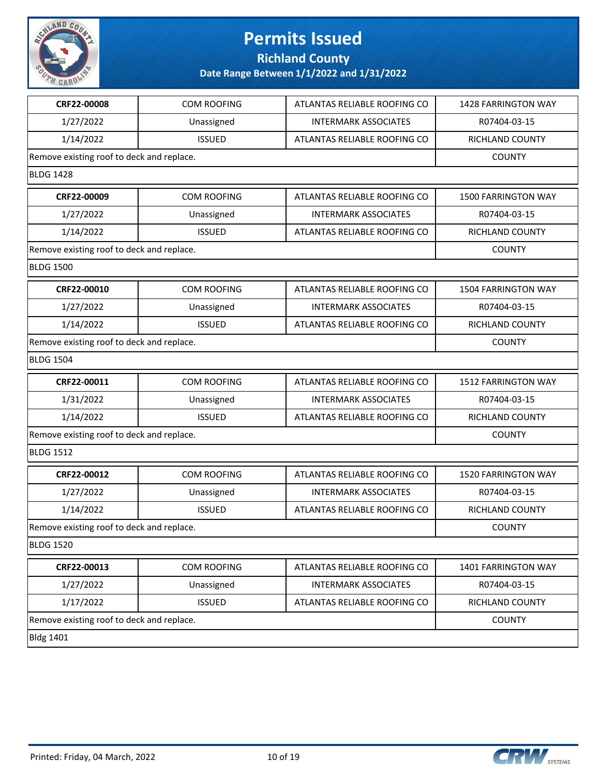

**Richland County**

| CRF22-00008                               | <b>COM ROOFING</b> | ATLANTAS RELIABLE ROOFING CO | <b>1428 FARRINGTON WAY</b> |
|-------------------------------------------|--------------------|------------------------------|----------------------------|
| 1/27/2022                                 | Unassigned         | <b>INTERMARK ASSOCIATES</b>  | R07404-03-15               |
| 1/14/2022                                 | <b>ISSUED</b>      | ATLANTAS RELIABLE ROOFING CO | RICHLAND COUNTY            |
| Remove existing roof to deck and replace. |                    |                              | <b>COUNTY</b>              |
| <b>BLDG 1428</b>                          |                    |                              |                            |
| CRF22-00009                               | <b>COM ROOFING</b> | ATLANTAS RELIABLE ROOFING CO | <b>1500 FARRINGTON WAY</b> |
| 1/27/2022                                 | Unassigned         | <b>INTERMARK ASSOCIATES</b>  | R07404-03-15               |
| 1/14/2022                                 | <b>ISSUED</b>      | ATLANTAS RELIABLE ROOFING CO | RICHLAND COUNTY            |
| Remove existing roof to deck and replace. |                    |                              | <b>COUNTY</b>              |
| <b>BLDG 1500</b>                          |                    |                              |                            |
| CRF22-00010                               | COM ROOFING        | ATLANTAS RELIABLE ROOFING CO | <b>1504 FARRINGTON WAY</b> |
| 1/27/2022                                 | Unassigned         | <b>INTERMARK ASSOCIATES</b>  | R07404-03-15               |
| 1/14/2022                                 | <b>ISSUED</b>      | ATLANTAS RELIABLE ROOFING CO | RICHLAND COUNTY            |
| Remove existing roof to deck and replace. |                    |                              | <b>COUNTY</b>              |
| <b>BLDG 1504</b>                          |                    |                              |                            |
| CRF22-00011                               | COM ROOFING        | ATLANTAS RELIABLE ROOFING CO | <b>1512 FARRINGTON WAY</b> |
| 1/31/2022                                 | Unassigned         | <b>INTERMARK ASSOCIATES</b>  | R07404-03-15               |
| 1/14/2022                                 | <b>ISSUED</b>      | ATLANTAS RELIABLE ROOFING CO | RICHLAND COUNTY            |
| Remove existing roof to deck and replace. |                    |                              | <b>COUNTY</b>              |
| <b>BLDG 1512</b>                          |                    |                              |                            |
| CRF22-00012                               | COM ROOFING        | ATLANTAS RELIABLE ROOFING CO | <b>1520 FARRINGTON WAY</b> |
| 1/27/2022                                 | Unassigned         | <b>INTERMARK ASSOCIATES</b>  | R07404-03-15               |
| 1/14/2022                                 | <b>ISSUED</b>      | ATLANTAS RELIABLE ROOFING CO | RICHLAND COUNTY            |
| Remove existing roof to deck and replace. |                    |                              | <b>COUNTY</b>              |
| <b>BLDG 1520</b>                          |                    |                              |                            |
| CRF22-00013                               | COM ROOFING        | ATLANTAS RELIABLE ROOFING CO | 1401 FARRINGTON WAY        |
| 1/27/2022                                 | Unassigned         | <b>INTERMARK ASSOCIATES</b>  | R07404-03-15               |
| 1/17/2022                                 | <b>ISSUED</b>      | ATLANTAS RELIABLE ROOFING CO | RICHLAND COUNTY            |
| Remove existing roof to deck and replace. |                    |                              | <b>COUNTY</b>              |
| <b>Bldg 1401</b>                          |                    |                              |                            |

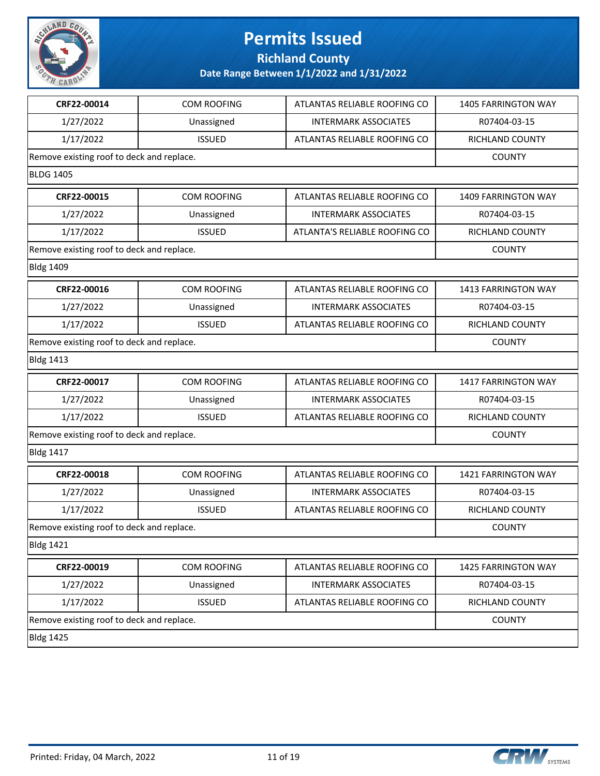

**Richland County**

| CRF22-00014                               | <b>COM ROOFING</b> | ATLANTAS RELIABLE ROOFING CO  | <b>1405 FARRINGTON WAY</b> |
|-------------------------------------------|--------------------|-------------------------------|----------------------------|
| 1/27/2022                                 | Unassigned         | <b>INTERMARK ASSOCIATES</b>   | R07404-03-15               |
| 1/17/2022                                 | <b>ISSUED</b>      | ATLANTAS RELIABLE ROOFING CO  | RICHLAND COUNTY            |
| Remove existing roof to deck and replace. |                    |                               | <b>COUNTY</b>              |
| <b>BLDG 1405</b>                          |                    |                               |                            |
| CRF22-00015                               | <b>COM ROOFING</b> | ATLANTAS RELIABLE ROOFING CO  | <b>1409 FARRINGTON WAY</b> |
| 1/27/2022                                 | Unassigned         | <b>INTERMARK ASSOCIATES</b>   | R07404-03-15               |
| 1/17/2022                                 | <b>ISSUED</b>      | ATLANTA'S RELIABLE ROOFING CO | RICHLAND COUNTY            |
| Remove existing roof to deck and replace. |                    |                               | <b>COUNTY</b>              |
| <b>Bldg 1409</b>                          |                    |                               |                            |
| CRF22-00016                               | <b>COM ROOFING</b> | ATLANTAS RELIABLE ROOFING CO  | 1413 FARRINGTON WAY        |
| 1/27/2022                                 | Unassigned         | <b>INTERMARK ASSOCIATES</b>   | R07404-03-15               |
| 1/17/2022                                 | <b>ISSUED</b>      | ATLANTAS RELIABLE ROOFING CO  | RICHLAND COUNTY            |
| Remove existing roof to deck and replace. |                    |                               | <b>COUNTY</b>              |
| <b>Bldg 1413</b>                          |                    |                               |                            |
| CRF22-00017                               | COM ROOFING        | ATLANTAS RELIABLE ROOFING CO  | <b>1417 FARRINGTON WAY</b> |
| 1/27/2022                                 | Unassigned         | <b>INTERMARK ASSOCIATES</b>   | R07404-03-15               |
| 1/17/2022                                 | <b>ISSUED</b>      | ATLANTAS RELIABLE ROOFING CO  | <b>RICHLAND COUNTY</b>     |
| Remove existing roof to deck and replace. |                    |                               | <b>COUNTY</b>              |
| <b>Bldg 1417</b>                          |                    |                               |                            |
| CRF22-00018                               | <b>COM ROOFING</b> | ATLANTAS RELIABLE ROOFING CO  | 1421 FARRINGTON WAY        |
| 1/27/2022                                 | Unassigned         | <b>INTERMARK ASSOCIATES</b>   | R07404-03-15               |
| 1/17/2022                                 | <b>ISSUED</b>      | ATLANTAS RELIABLE ROOFING CO  | <b>RICHLAND COUNTY</b>     |
| Remove existing roof to deck and replace. |                    |                               | <b>COUNTY</b>              |
| <b>Bldg 1421</b>                          |                    |                               |                            |
| CRF22-00019                               | COM ROOFING        | ATLANTAS RELIABLE ROOFING CO  | 1425 FARRINGTON WAY        |
| 1/27/2022                                 | Unassigned         | <b>INTERMARK ASSOCIATES</b>   | R07404-03-15               |
| 1/17/2022                                 | <b>ISSUED</b>      | ATLANTAS RELIABLE ROOFING CO  | RICHLAND COUNTY            |
| Remove existing roof to deck and replace. |                    |                               | <b>COUNTY</b>              |
| <b>Bldg 1425</b>                          |                    |                               |                            |

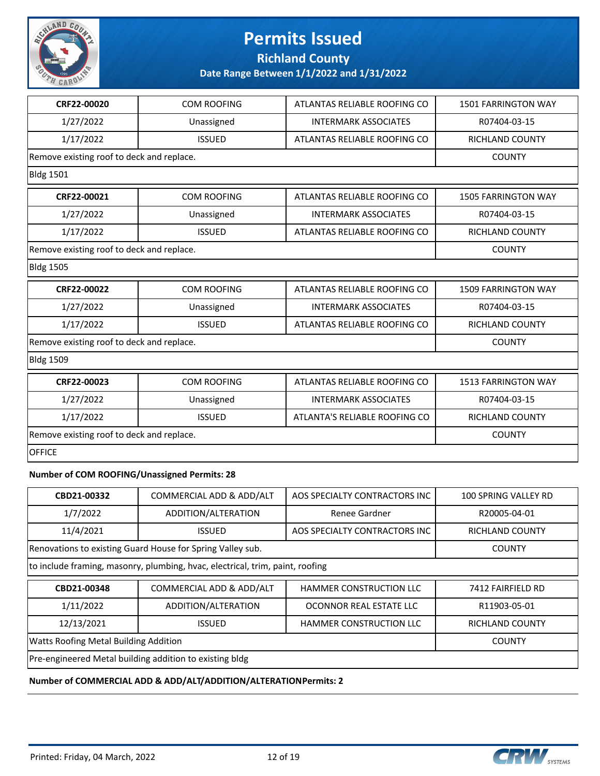

**Richland County**

**Date Range Between 1/1/2022 and 1/31/2022**

| CRF22-00020                               | <b>COM ROOFING</b>                        | ATLANTAS RELIABLE ROOFING CO  | <b>1501 FARRINGTON WAY</b> |
|-------------------------------------------|-------------------------------------------|-------------------------------|----------------------------|
| 1/27/2022                                 | Unassigned                                | <b>INTERMARK ASSOCIATES</b>   | R07404-03-15               |
| 1/17/2022                                 | <b>ISSUED</b>                             | ATLANTAS RELIABLE ROOFING CO  | <b>RICHLAND COUNTY</b>     |
| Remove existing roof to deck and replace. |                                           |                               | <b>COUNTY</b>              |
| <b>Bldg 1501</b>                          |                                           |                               |                            |
| CRF22-00021                               | <b>COM ROOFING</b>                        | ATLANTAS RELIABLE ROOFING CO  | <b>1505 FARRINGTON WAY</b> |
| 1/27/2022                                 | Unassigned                                | <b>INTERMARK ASSOCIATES</b>   | R07404-03-15               |
| 1/17/2022                                 | <b>ISSUED</b>                             | ATLANTAS RELIABLE ROOFING CO  | RICHLAND COUNTY            |
| Remove existing roof to deck and replace. |                                           |                               | <b>COUNTY</b>              |
| <b>Bldg 1505</b>                          |                                           |                               |                            |
| CRF22-00022                               | <b>COM ROOFING</b>                        | ATLANTAS RELIABLE ROOFING CO  | <b>1509 FARRINGTON WAY</b> |
| 1/27/2022                                 | Unassigned                                | <b>INTERMARK ASSOCIATES</b>   | R07404-03-15               |
| 1/17/2022                                 | <b>ISSUED</b>                             | ATLANTAS RELIABLE ROOFING CO  | RICHLAND COUNTY            |
| Remove existing roof to deck and replace. | <b>COUNTY</b>                             |                               |                            |
| <b>Bldg 1509</b>                          |                                           |                               |                            |
| CRF22-00023                               | <b>COM ROOFING</b>                        | ATLANTAS RELIABLE ROOFING CO  | <b>1513 FARRINGTON WAY</b> |
| 1/27/2022                                 | Unassigned                                | <b>INTERMARK ASSOCIATES</b>   | R07404-03-15               |
| 1/17/2022                                 | <b>ISSUED</b>                             | ATLANTA'S RELIABLE ROOFING CO | RICHLAND COUNTY            |
|                                           | Remove existing roof to deck and replace. |                               |                            |
| <b>OFFICE</b>                             |                                           |                               |                            |
|                                           |                                           |                               |                            |

#### **Number of COM ROOFING/Unassigned Permits: 28**

| CBD21-00332                                                                   | COMMERCIAL ADD & ADD/ALT                                   | AOS SPECIALTY CONTRACTORS INC  | 100 SPRING VALLEY RD |
|-------------------------------------------------------------------------------|------------------------------------------------------------|--------------------------------|----------------------|
| 1/7/2022                                                                      | ADDITION/ALTERATION                                        | Renee Gardner                  | R20005-04-01         |
| 11/4/2021                                                                     | <b>ISSUED</b>                                              | AOS SPECIALTY CONTRACTORS INC  | RICHLAND COUNTY      |
|                                                                               | Renovations to existing Guard House for Spring Valley sub. |                                | <b>COUNTY</b>        |
| to include framing, masonry, plumbing, hvac, electrical, trim, paint, roofing |                                                            |                                |                      |
| CBD21-00348                                                                   | COMMERCIAL ADD & ADD/ALT                                   | <b>HAMMER CONSTRUCTION LLC</b> | 7412 FAIRFIELD RD    |
| 1/11/2022                                                                     | ADDITION/ALTERATION                                        | OCONNOR REAL ESTATE LLC        | R11903-05-01         |
| 12/13/2021                                                                    | <b>RICHLAND COUNTY</b>                                     |                                |                      |
| Watts Roofing Metal Building Addition                                         | <b>COUNTY</b>                                              |                                |                      |
| Pre-engineered Metal building addition to existing bldg                       |                                                            |                                |                      |

#### **Number of COMMERCIAL ADD & ADD/ALT/ADDITION/ALTERATION Permits: 2**

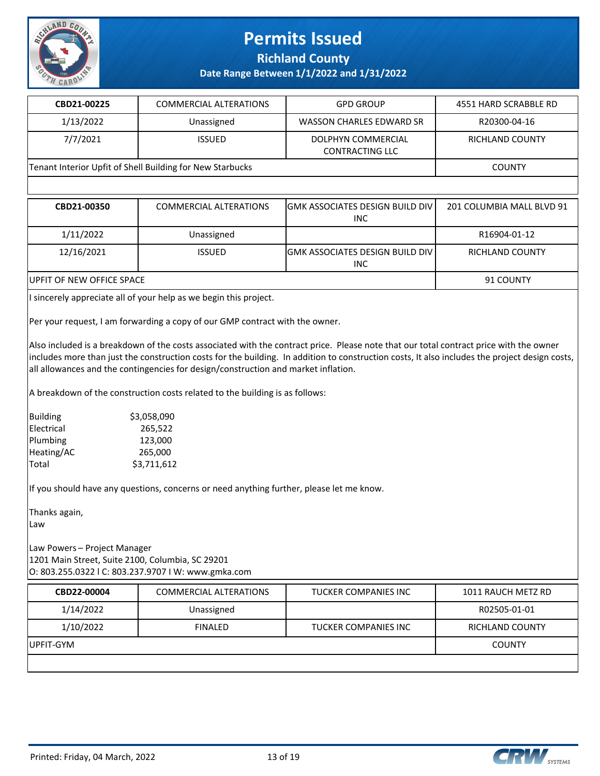

**Richland County**

#### **Date Range Between 1/1/2022 and 1/31/2022**

| CBD21-00225                                               | <b>COMMERCIAL ALTERATIONS</b> | <b>GPD GROUP</b>                      | 4551 HARD SCRABBLE RD |
|-----------------------------------------------------------|-------------------------------|---------------------------------------|-----------------------|
| 1/13/2022                                                 | Unassigned                    | WASSON CHARLES EDWARD SR              | R20300-04-16          |
| 7/7/2021                                                  | <b>ISSUED</b>                 | DOLPHYN COMMERCIAL<br>CONTRACTING LLC | RICHLAND COUNTY       |
| Tenant Interior Upfit of Shell Building for New Starbucks |                               |                                       | <b>COUNTY</b>         |
|                                                           |                               |                                       |                       |

| CBD21-00350                       | <b>COMMERCIAL ALTERATIONS</b> | <b>JGMK ASSOCIATES DESIGN BUILD DIV  </b><br>INC. | 201 COLUMBIA MALL BLVD 91 |
|-----------------------------------|-------------------------------|---------------------------------------------------|---------------------------|
| 1/11/2022                         | Unassigned                    |                                                   | R16904-01-12              |
| 12/16/2021                        | <b>ISSUED</b>                 | <b>IGMK ASSOCIATES DESIGN BUILD DIV I</b><br>INC. | RICHLAND COUNTY           |
| <b>IUPFIT OF NEW OFFICE SPACE</b> |                               |                                                   | 91 COUNTY                 |

I sincerely appreciate all of your help as we begin this project.

Per your request, I am forwarding a copy of our GMP contract with the owner.

Also included is a breakdown of the costs associated with the contract price. Please note that our total contract price with the owner includes more than just the construction costs for the building. In addition to construction costs, It also includes the project design costs, all allowances and the contingencies for design/construction and market inflation.

A breakdown of the construction costs related to the building is as follows:

| Building   | \$3,058,090 |
|------------|-------------|
| Electrical | 265,522     |
| Plumbing   | 123,000     |
| Heating/AC | 265,000     |
| Total      | \$3,711,612 |
|            |             |

If you should have any questions, concerns or need anything further, please let me know.

Thanks again,

Law

Law Powers – Project Manager 1201 Main Street, Suite 2100, Columbia, SC 29201 O: 803.255.0322 l C: 803.237.9707 I W: www.gmka.com

| CBD22-00004 | <b>COMMERCIAL ALTERATIONS</b> | TUCKER COMPANIES INC | 1011 RAUCH METZ RD     |
|-------------|-------------------------------|----------------------|------------------------|
| 1/14/2022   | Unassigned                    |                      | R02505-01-01           |
| 1/10/2022   | <b>FINALED</b>                | TUCKER COMPANIES INC | <b>RICHLAND COUNTY</b> |
| IUPFIT-GYM  |                               |                      | <b>COUNTY</b>          |
|             |                               |                      |                        |

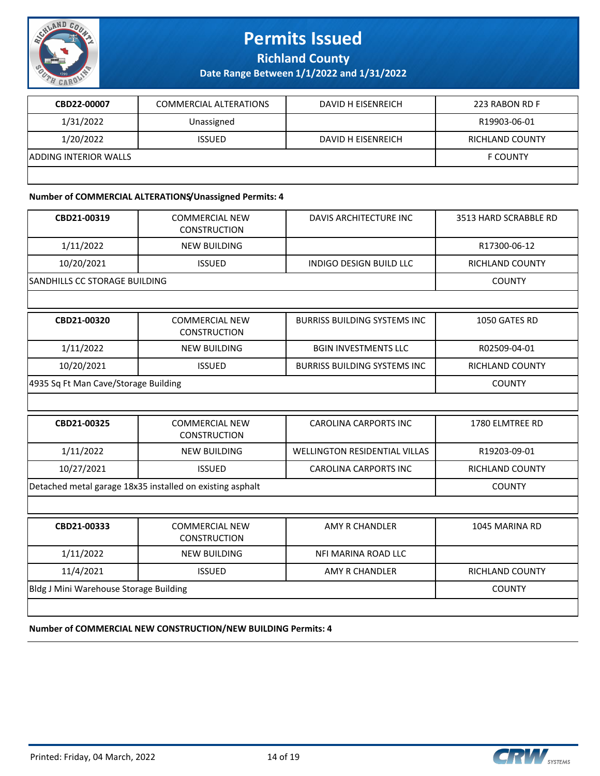

**Richland County**

**Date Range Between 1/1/2022 and 1/31/2022**

| CBD22-00007           | COMMERCIAL ALTERATIONS | DAVID H EISENREICH | 223 RABON RD F         |
|-----------------------|------------------------|--------------------|------------------------|
| 1/31/2022             | Unassigned             |                    | R19903-06-01           |
| 1/20/2022             | <b>ISSUED</b>          | DAVID H EISENREICH | <b>RICHLAND COUNTY</b> |
| ADDING INTERIOR WALLS |                        |                    | <b>F COUNTY</b>        |
|                       |                        |                    |                        |

#### **Number of COMMERCIAL ALTERATIONS/Unassigned Permits: 4**

| CBD21-00319                            | <b>COMMERCIAL NEW</b><br><b>CONSTRUCTION</b>              | <b>DAVIS ARCHITECTURE INC</b>        | 3513 HARD SCRABBLE RD  |
|----------------------------------------|-----------------------------------------------------------|--------------------------------------|------------------------|
| 1/11/2022                              | <b>NEW BUILDING</b>                                       |                                      | R17300-06-12           |
| 10/20/2021                             | <b>ISSUED</b>                                             | <b>INDIGO DESIGN BUILD LLC</b>       | <b>RICHLAND COUNTY</b> |
| SANDHILLS CC STORAGE BUILDING          |                                                           |                                      | <b>COUNTY</b>          |
|                                        |                                                           |                                      |                        |
| CBD21-00320                            | <b>COMMERCIAL NEW</b><br><b>CONSTRUCTION</b>              | <b>BURRISS BUILDING SYSTEMS INC.</b> | 1050 GATES RD          |
| 1/11/2022                              | <b>NEW BUILDING</b>                                       | <b>BGIN INVESTMENTS LLC</b>          | R02509-04-01           |
| 10/20/2021                             | <b>ISSUED</b>                                             | <b>BURRISS BUILDING SYSTEMS INC.</b> | <b>RICHLAND COUNTY</b> |
| 4935 Sq Ft Man Cave/Storage Building   |                                                           |                                      | <b>COUNTY</b>          |
|                                        |                                                           |                                      |                        |
| CBD21-00325                            | <b>COMMERCIAL NEW</b><br><b>CONSTRUCTION</b>              | <b>CAROLINA CARPORTS INC</b>         | 1780 ELMTREE RD        |
| 1/11/2022                              | <b>NEW BUILDING</b>                                       | <b>WELLINGTON RESIDENTIAL VILLAS</b> | R19203-09-01           |
| 10/27/2021                             | <b>ISSUED</b>                                             | <b>CAROLINA CARPORTS INC</b>         | RICHLAND COUNTY        |
|                                        | Detached metal garage 18x35 installed on existing asphalt |                                      | <b>COUNTY</b>          |
|                                        |                                                           |                                      |                        |
| CBD21-00333                            | <b>COMMERCIAL NEW</b><br><b>CONSTRUCTION</b>              | <b>AMY R CHANDLER</b>                | 1045 MARINA RD         |
| 1/11/2022                              | <b>NEW BUILDING</b>                                       | NFI MARINA ROAD LLC                  |                        |
| 11/4/2021                              | <b>ISSUED</b>                                             | <b>AMY R CHANDLER</b>                | RICHLAND COUNTY        |
| Bldg J Mini Warehouse Storage Building |                                                           |                                      | <b>COUNTY</b>          |
|                                        |                                                           |                                      |                        |

**Number of COMMERCIAL NEW CONSTRUCTION/NEW BUILDING Permits: 4**



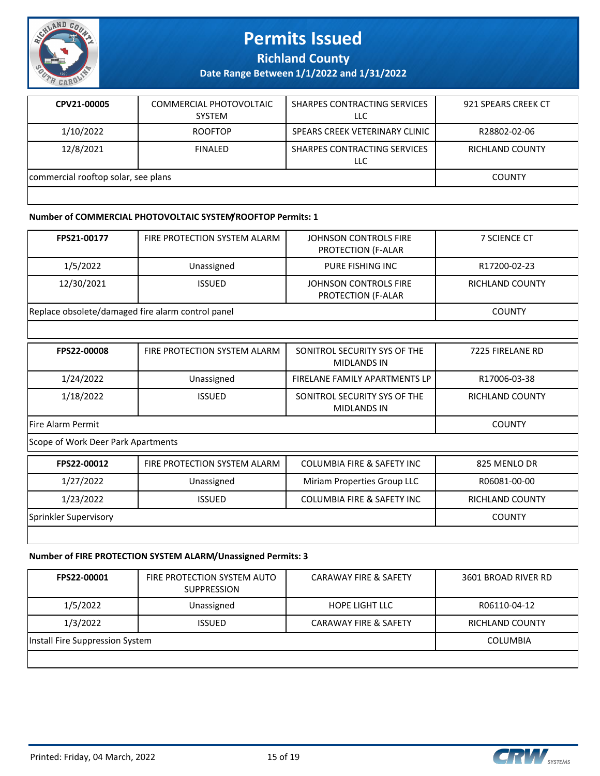

**Richland County**

**Date Range Between 1/1/2022 and 1/31/2022**

| CPV21-00005                         | COMMERCIAL PHOTOVOLTAIC<br><b>SYSTEM</b> | SHARPES CONTRACTING SERVICES<br>LLC | 921 SPEARS CREEK CT |
|-------------------------------------|------------------------------------------|-------------------------------------|---------------------|
| 1/10/2022                           | <b>ROOFTOP</b>                           | SPEARS CREEK VETERINARY CLINIC      | R28802-02-06        |
| 12/8/2021                           | <b>FINALED</b>                           | SHARPES CONTRACTING SERVICES<br>LLC | RICHLAND COUNTY     |
| commercial rooftop solar, see plans |                                          |                                     | <b>COUNTY</b>       |
|                                     |                                          |                                     |                     |

#### **Number of COMMERCIAL PHOTOVOLTAIC SYSTEM/ROOFTOP Permits: 1**

| FPS21-00177                                       | FIRE PROTECTION SYSTEM ALARM | JOHNSON CONTROLS FIRE<br><b>PROTECTION (F-ALAR</b> | <b>7 SCIENCE CT</b> |
|---------------------------------------------------|------------------------------|----------------------------------------------------|---------------------|
| 1/5/2022                                          | Unassigned                   | PURE FISHING INC                                   | R17200-02-23        |
| 12/30/2021                                        | <b>ISSUED</b>                | JOHNSON CONTROLS FIRE<br><b>PROTECTION (F-ALAR</b> | RICHLAND COUNTY     |
| Replace obsolete/damaged fire alarm control panel |                              |                                                    | <b>COUNTY</b>       |
|                                                   |                              |                                                    |                     |

| <b>FPS22-00008</b>                 | FIRE PROTECTION SYSTEM ALARM | SONITROL SECURITY SYS OF THE<br><b>MIDLANDS IN</b> | 7225 FIRELANE RD |
|------------------------------------|------------------------------|----------------------------------------------------|------------------|
| 1/24/2022                          | Unassigned                   | FIRELANE FAMILY APARTMENTS LP                      | R17006-03-38     |
| 1/18/2022                          | <b>ISSUED</b>                | SONITROL SECURITY SYS OF THE<br><b>MIDLANDS IN</b> | RICHLAND COUNTY  |
| <b>Fire Alarm Permit</b>           | <b>COUNTY</b>                |                                                    |                  |
| Scope of Work Deer Park Apartments |                              |                                                    |                  |

| <b>FPS22-00012</b>    | FIRE PROTECTION SYSTEM ALARM | COLUMBIA FIRE & SAFETY INC            | 825 MENLO DR    |
|-----------------------|------------------------------|---------------------------------------|-----------------|
| 1/27/2022             | Unassigned                   | Miriam Properties Group LLC           | R06081-00-00    |
| 1/23/2022             | <b>ISSUED</b>                | <b>COLUMBIA FIRE &amp; SAFETY INC</b> | RICHLAND COUNTY |
| Sprinkler Supervisory |                              |                                       | <b>COUNTY</b>   |
|                       |                              |                                       |                 |

#### **Number of FIRE PROTECTION SYSTEM ALARM/Unassigned Permits: 3**

| FPS22-00001                     | FIRE PROTECTION SYSTEM AUTO<br><b>SUPPRESSION</b> | <b>CARAWAY FIRE &amp; SAFETY</b> | 3601 BROAD RIVER RD |
|---------------------------------|---------------------------------------------------|----------------------------------|---------------------|
| 1/5/2022                        | Unassigned                                        | <b>HOPE LIGHT LLC</b>            | R06110-04-12        |
| 1/3/2022                        | <b>ISSUED</b>                                     | <b>CARAWAY FIRE &amp; SAFETY</b> | RICHLAND COUNTY     |
| Install Fire Suppression System |                                                   |                                  | COLUMBIA            |
|                                 |                                                   |                                  |                     |

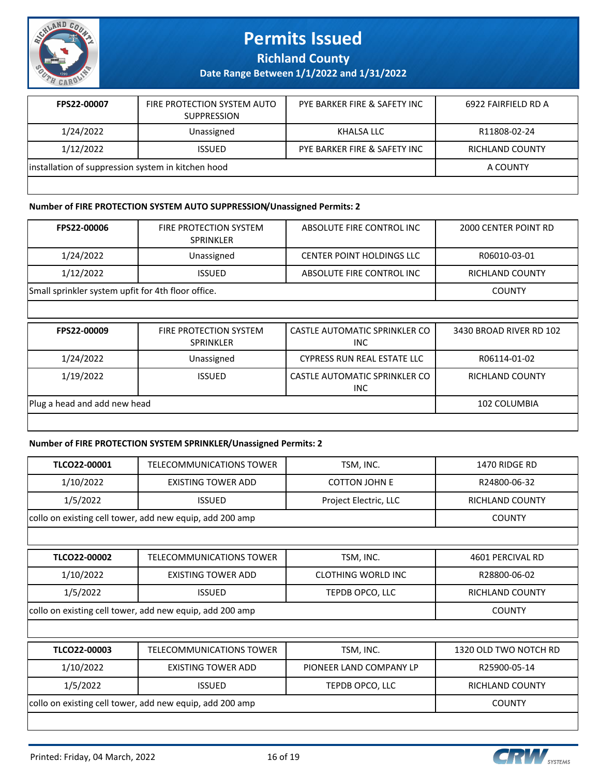

**Richland County**

**Date Range Between 1/1/2022 and 1/31/2022**

| FPS22-00007                                        | FIRE PROTECTION SYSTEM AUTO<br><b>SUPPRESSION</b> | PYE BARKER FIRE & SAFETY INC | 6922 FAIRFIELD RD A |
|----------------------------------------------------|---------------------------------------------------|------------------------------|---------------------|
| 1/24/2022                                          | Unassigned                                        | KHALSA LLC                   | R11808-02-24        |
| 1/12/2022                                          | <b>ISSUED</b>                                     | PYE BARKER FIRE & SAFETY INC | RICHLAND COUNTY     |
| installation of suppression system in kitchen hood |                                                   |                              | A COUNTY            |
|                                                    |                                                   |                              |                     |

#### **Number of FIRE PROTECTION SYSTEM AUTO SUPPRESSION/Unassigned Permits: 2**

| <b>FPS22-00006</b>                                 | <b>FIRE PROTECTION SYSTEM</b><br><b>SPRINKLER</b> | ABSOLUTE FIRE CONTROL INC        | 2000 CENTER POINT RD |
|----------------------------------------------------|---------------------------------------------------|----------------------------------|----------------------|
| 1/24/2022                                          | Unassigned                                        | <b>CENTER POINT HOLDINGS LLC</b> | R06010-03-01         |
| 1/12/2022                                          | <b>ISSUED</b>                                     | ABSOLUTE FIRE CONTROL INC        | RICHLAND COUNTY      |
| Small sprinkler system upfit for 4th floor office. |                                                   |                                  | <b>COUNTY</b>        |
|                                                    |                                                   |                                  |                      |

| FPS22-00009                  | <b>FIRE PROTECTION SYSTEM</b><br><b>SPRINKLER</b> | CASTLE AUTOMATIC SPRINKLER CO<br><b>INC</b> | 3430 BROAD RIVER RD 102 |
|------------------------------|---------------------------------------------------|---------------------------------------------|-------------------------|
| 1/24/2022                    | Unassigned                                        | <b>CYPRESS RUN REAL ESTATE LLC</b>          | R06114-01-02            |
| 1/19/2022                    | <b>ISSUED</b>                                     | CASTLE AUTOMATIC SPRINKLER CO<br><b>INC</b> | RICHLAND COUNTY         |
| Plug a head and add new head |                                                   |                                             | 102 COLUMBIA            |
|                              |                                                   |                                             |                         |

#### **Number of FIRE PROTECTION SYSTEM SPRINKLER/Unassigned Permits: 2**

| TLCO22-00001                                             | TELECOMMUNICATIONS TOWER                                 | TSM, INC.                 | 1470 RIDGE RD          |
|----------------------------------------------------------|----------------------------------------------------------|---------------------------|------------------------|
| 1/10/2022                                                | <b>EXISTING TOWER ADD</b>                                | <b>COTTON JOHN E</b>      | R24800-06-32           |
| 1/5/2022                                                 | <b>ISSUED</b>                                            | Project Electric, LLC     | <b>RICHLAND COUNTY</b> |
|                                                          | collo on existing cell tower, add new equip, add 200 amp |                           | <b>COUNTY</b>          |
|                                                          |                                                          |                           |                        |
| TLCO22-00002                                             | TELECOMMUNICATIONS TOWER                                 | TSM, INC.                 | 4601 PERCIVAL RD       |
| 1/10/2022                                                | <b>EXISTING TOWER ADD</b>                                | <b>CLOTHING WORLD INC</b> | R28800-06-02           |
| 1/5/2022                                                 | <b>ISSUED</b>                                            | TEPDB OPCO, LLC           | <b>RICHLAND COUNTY</b> |
| collo on existing cell tower, add new equip, add 200 amp |                                                          |                           | <b>COUNTY</b>          |
|                                                          |                                                          |                           |                        |
| TLCO22-00003                                             | TELECOMMUNICATIONS TOWER                                 | TSM, INC.                 | 1320 OLD TWO NOTCH RD  |
| 1/10/2022                                                | <b>EXISTING TOWER ADD</b>                                | PIONEER LAND COMPANY LP   | R25900-05-14           |
| 1/5/2022                                                 | <b>ISSUED</b>                                            | TEPDB OPCO, LLC           | <b>RICHLAND COUNTY</b> |
|                                                          | collo on existing cell tower, add new equip, add 200 amp |                           | <b>COUNTY</b>          |

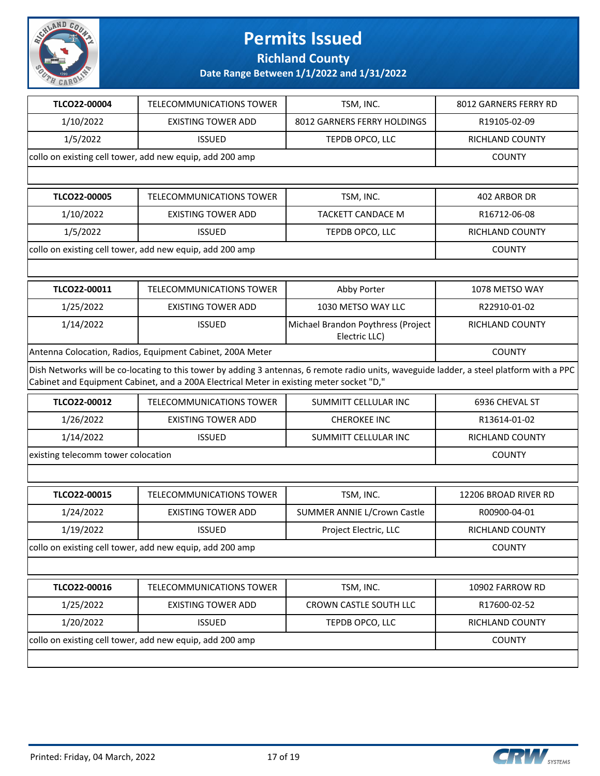

**Richland County**

| TLCO22-00004                                              | <b>TELECOMMUNICATIONS TOWER</b>                                                          | TSM, INC.                                                                                                                                 | 8012 GARNERS FERRY RD  |
|-----------------------------------------------------------|------------------------------------------------------------------------------------------|-------------------------------------------------------------------------------------------------------------------------------------------|------------------------|
| 1/10/2022                                                 | <b>EXISTING TOWER ADD</b>                                                                | 8012 GARNERS FERRY HOLDINGS                                                                                                               | R19105-02-09           |
| 1/5/2022                                                  | <b>ISSUED</b>                                                                            | TEPDB OPCO, LLC                                                                                                                           | RICHLAND COUNTY        |
|                                                           | collo on existing cell tower, add new equip, add 200 amp                                 |                                                                                                                                           | <b>COUNTY</b>          |
|                                                           |                                                                                          |                                                                                                                                           |                        |
| TLCO22-00005                                              | <b>TELECOMMUNICATIONS TOWER</b>                                                          | TSM, INC.                                                                                                                                 | 402 ARBOR DR           |
| 1/10/2022                                                 | <b>EXISTING TOWER ADD</b>                                                                | <b>TACKETT CANDACE M</b>                                                                                                                  | R16712-06-08           |
| 1/5/2022                                                  | <b>ISSUED</b>                                                                            | TEPDB OPCO, LLC                                                                                                                           | RICHLAND COUNTY        |
|                                                           | collo on existing cell tower, add new equip, add 200 amp                                 |                                                                                                                                           | <b>COUNTY</b>          |
|                                                           |                                                                                          |                                                                                                                                           |                        |
| TLCO22-00011                                              | <b>TELECOMMUNICATIONS TOWER</b>                                                          | Abby Porter                                                                                                                               | 1078 METSO WAY         |
| 1/25/2022                                                 | <b>EXISTING TOWER ADD</b>                                                                | 1030 METSO WAY LLC                                                                                                                        | R22910-01-02           |
| 1/14/2022                                                 | <b>ISSUED</b>                                                                            | Michael Brandon Poythress (Project<br>Electric LLC)                                                                                       | RICHLAND COUNTY        |
| Antenna Colocation, Radios, Equipment Cabinet, 200A Meter |                                                                                          |                                                                                                                                           | <b>COUNTY</b>          |
|                                                           | Cabinet and Equipment Cabinet, and a 200A Electrical Meter in existing meter socket "D," | Dish Networks will be co-locating to this tower by adding 3 antennas, 6 remote radio units, waveguide ladder, a steel platform with a PPC |                        |
| TLCO22-00012                                              | <b>TELECOMMUNICATIONS TOWER</b>                                                          | SUMMITT CELLULAR INC                                                                                                                      | 6936 CHEVAL ST         |
| 1/26/2022                                                 | <b>EXISTING TOWER ADD</b>                                                                | <b>CHEROKEE INC</b>                                                                                                                       | R13614-01-02           |
| 1/14/2022                                                 | <b>ISSUED</b>                                                                            | SUMMITT CELLULAR INC                                                                                                                      | RICHLAND COUNTY        |
| existing telecomm tower colocation                        |                                                                                          |                                                                                                                                           | <b>COUNTY</b>          |
|                                                           |                                                                                          |                                                                                                                                           |                        |
| TLCO22-00015                                              | <b>TELECOMMUNICATIONS TOWER</b>                                                          | TSM, INC.                                                                                                                                 | 12206 BROAD RIVER RD   |
| 1/24/2022                                                 | <b>EXISTING TOWER ADD</b>                                                                | <b>SUMMER ANNIE L/Crown Castle</b>                                                                                                        | R00900-04-01           |
| 1/19/2022                                                 | <b>ISSUED</b>                                                                            | Project Electric, LLC                                                                                                                     | <b>RICHLAND COUNTY</b> |
| collo on existing cell tower, add new equip, add 200 amp  |                                                                                          |                                                                                                                                           | <b>COUNTY</b>          |
|                                                           |                                                                                          |                                                                                                                                           |                        |
| TLCO22-00016                                              | TELECOMMUNICATIONS TOWER                                                                 | TSM, INC.                                                                                                                                 | 10902 FARROW RD        |
| 1/25/2022                                                 | <b>EXISTING TOWER ADD</b>                                                                | CROWN CASTLE SOUTH LLC                                                                                                                    | R17600-02-52           |
| 1/20/2022                                                 | <b>ISSUED</b>                                                                            | TEPDB OPCO, LLC                                                                                                                           | RICHLAND COUNTY        |
| collo on existing cell tower, add new equip, add 200 amp  |                                                                                          |                                                                                                                                           | <b>COUNTY</b>          |
|                                                           |                                                                                          |                                                                                                                                           |                        |

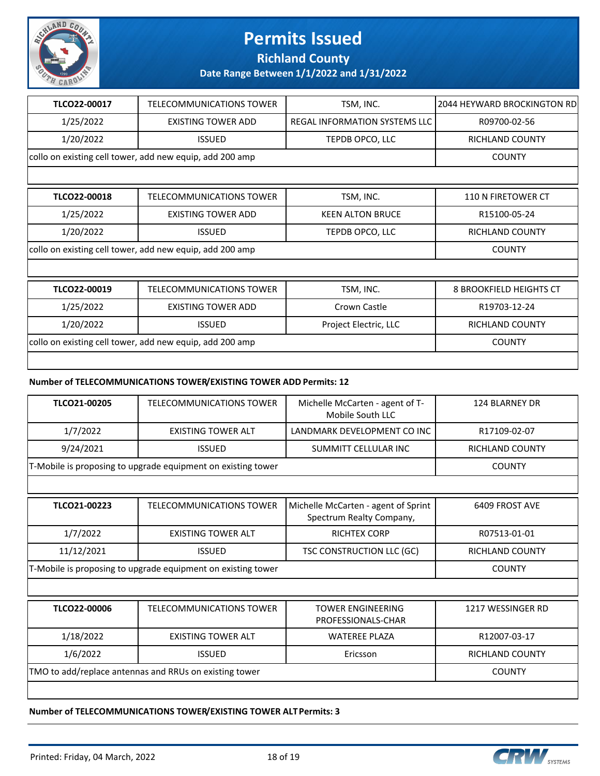

**Richland County**

**Date Range Between 1/1/2022 and 1/31/2022**

| TLCO22-00017                                             | TELECOMMUNICATIONS TOWER                                 | TSM, INC.                            | 2044 HEYWARD BROCKINGTON RD    |
|----------------------------------------------------------|----------------------------------------------------------|--------------------------------------|--------------------------------|
| 1/25/2022                                                | <b>EXISTING TOWER ADD</b>                                | <b>REGAL INFORMATION SYSTEMS LLC</b> | R09700-02-56                   |
| 1/20/2022                                                | <b>ISSUED</b>                                            | TEPDB OPCO, LLC                      | RICHLAND COUNTY                |
|                                                          | collo on existing cell tower, add new equip, add 200 amp |                                      | <b>COUNTY</b>                  |
|                                                          |                                                          |                                      |                                |
| TLCO22-00018                                             | <b>TELECOMMUNICATIONS TOWER</b>                          | TSM, INC.                            | 110 N FIRETOWER CT             |
| 1/25/2022                                                | <b>EXISTING TOWER ADD</b>                                | <b>KEEN ALTON BRUCE</b>              | R15100-05-24                   |
| 1/20/2022                                                | <b>ISSUED</b>                                            | TEPDB OPCO, LLC                      | <b>RICHLAND COUNTY</b>         |
| collo on existing cell tower, add new equip, add 200 amp |                                                          |                                      | <b>COUNTY</b>                  |
|                                                          |                                                          |                                      |                                |
| TLCO22-00019                                             | <b>TELECOMMUNICATIONS TOWER</b>                          | TSM, INC.                            | <b>8 BROOKFIELD HEIGHTS CT</b> |
| 1/25/2022                                                | <b>EXISTING TOWER ADD</b>                                | Crown Castle                         | R19703-12-24                   |
| 1/20/2022                                                | <b>ISSUED</b>                                            | Project Electric, LLC                | <b>RICHLAND COUNTY</b>         |
| collo on existing cell tower, add new equip, add 200 amp |                                                          |                                      | <b>COUNTY</b>                  |
|                                                          |                                                          |                                      |                                |

#### **Number of TELECOMMUNICATIONS TOWER/EXISTING TOWER ADD Permits: 12**

| TLCO21-00205                                                 | TELECOMMUNICATIONS TOWER                                     | Michelle McCarten - agent of T-<br>Mobile South LLC             | <b>124 BLARNEY DR</b>  |
|--------------------------------------------------------------|--------------------------------------------------------------|-----------------------------------------------------------------|------------------------|
| 1/7/2022                                                     | <b>EXISTING TOWER ALT</b>                                    | LANDMARK DEVELOPMENT CO INC                                     | R17109-02-07           |
| 9/24/2021                                                    | <b>ISSUED</b>                                                | <b>SUMMITT CELLULAR INC</b>                                     | <b>RICHLAND COUNTY</b> |
|                                                              | T-Mobile is proposing to upgrade equipment on existing tower |                                                                 | <b>COUNTY</b>          |
|                                                              |                                                              |                                                                 |                        |
| TLCO21-00223                                                 | <b>TELECOMMUNICATIONS TOWER</b>                              | Michelle McCarten - agent of Sprint<br>Spectrum Realty Company, | 6409 FROST AVE         |
| 1/7/2022                                                     | <b>EXISTING TOWER ALT</b>                                    | <b>RICHTEX CORP</b>                                             | R07513-01-01           |
| 11/12/2021                                                   | <b>ISSUED</b>                                                | TSC CONSTRUCTION LLC (GC)                                       | <b>RICHLAND COUNTY</b> |
| T-Mobile is proposing to upgrade equipment on existing tower |                                                              |                                                                 | <b>COUNTY</b>          |
|                                                              |                                                              |                                                                 |                        |
| TLCO22-00006                                                 | <b>TELECOMMUNICATIONS TOWER</b>                              | <b>TOWER ENGINEERING</b><br>PROFESSIONALS-CHAR                  | 1217 WESSINGER RD      |
| 1/18/2022                                                    | <b>EXISTING TOWER ALT</b>                                    | <b>WATEREE PLAZA</b>                                            | R12007-03-17           |
| 1/6/2022                                                     | <b>ISSUED</b>                                                | Ericsson                                                        | <b>RICHLAND COUNTY</b> |
| TMO to add/replace antennas and RRUs on existing tower       |                                                              |                                                                 | <b>COUNTY</b>          |
|                                                              |                                                              |                                                                 |                        |

**Number of TELECOMMUNICATIONS TOWER/EXISTING TOWER ALT Permits: 3**